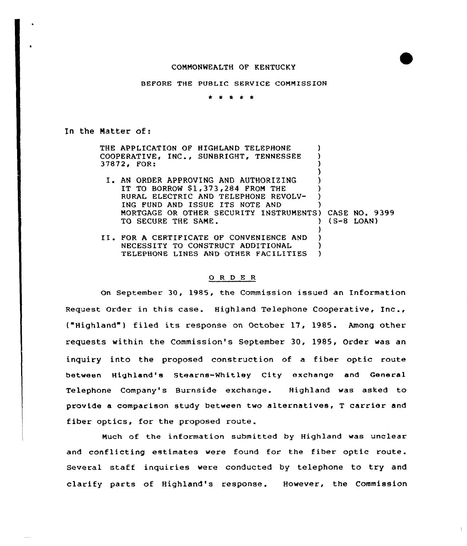## COMMONWEALTH OF KENTUCKY



\* t \* \* \*

In the Matter of:

THE APPLICATION OF HIGHLAND TELEPHONE COOPERATIVE, INC., SUNBRIGHT, TENNESSEE 37872, FOR: ) ) )

) I. AN ORDER APPROVING AND AUTHORIZING ) IT TO BORROW \$1,373,284 FROM THE RURAL ELECTRIC AND TELEPHONE REVOLV-ING FUND AND ISSUE ITS NOTE AND MORTGAGE OR OTHER SECURITY INSTRUMENTS) CASE NO. 9399<br>TO SECURE THE SAME.<br>2008) TO SECURE THE SAME. )

> ) ) )

II. FOR A CERTIFICATE OF CONVENIENCE AND NECESSITY TO CONSTRUCT ADDITIONAL TELEPHONE LINES AND OTHER FACILITIES

## 0 R <sup>D</sup> E <sup>R</sup>

On September 30, 1985, the Commission issued an Information Request Order in this case. Highland Telephone Cooperative, Inc., ("Highland" ) filed its response on October 17, 1985. Among other requests within the Commission's September 30, 1985, Order was an inquiry into the proposed construction of a fiber optic route between Highland's Stearns-Whitley City exchange and General Telephone Company's Burnside exchange. Highland was asked to provide a comparison study between two alternatives, <sup>T</sup> carrier and fiber optics, for the proposed route.

Much of the information submitted by Highland was unclear and conflicting estimates were found for the fiber optic route. Several staff inquiries vere conducted by telephone to try and clarify parts of Highland's response. However, the Commission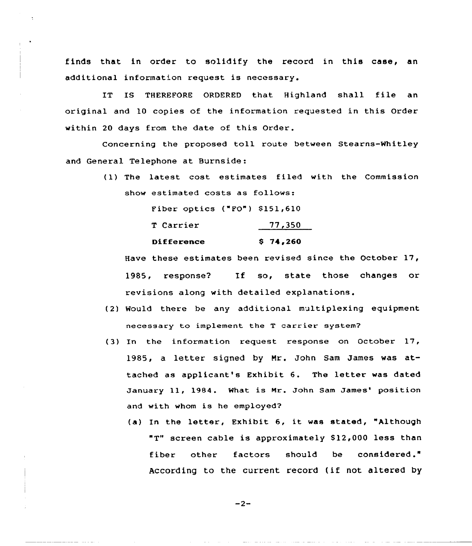finds that in order to solidify the record in this case, an additional information request is necessary.

IT IS THEREFORE ORDERED that Highland shall file an original and 10 copies of the information requested in this Order within 20 days from the date of this Order.

Concerning the proposed toll route between Stearns-Whitley and General Telephone at Burnside:

> (1) The latest cost estimates filed with the Commission show estimated costs as follows:

> > Fiber optics ("FO") \$151,610

| T Carrier         | 77,350   |
|-------------------|----------|
| <b>Difference</b> | \$74,260 |

Have these estimates been revised since the October 17, 1985, response? If so, state those changes or revisions along with detailed explanations.

- (2) Would there be any additional multiplexing equipment necessary to implement the <sup>T</sup> carrier system?
- (3) In the information request response on October 17, 1985, <sup>a</sup> letter signed by Mr. John Sam James was attached as applicant's Exhibit 6. The letter was dated January 11, 1984. What is Mr. John Sam James' position and with whom is he employed?
	- (a) In the letter, Exhibit 6, it was stated, "Although "T" screen cable is approximately 812,000 less than fiber other factors should be considered." According to the current record (if not altered by

 $-2-$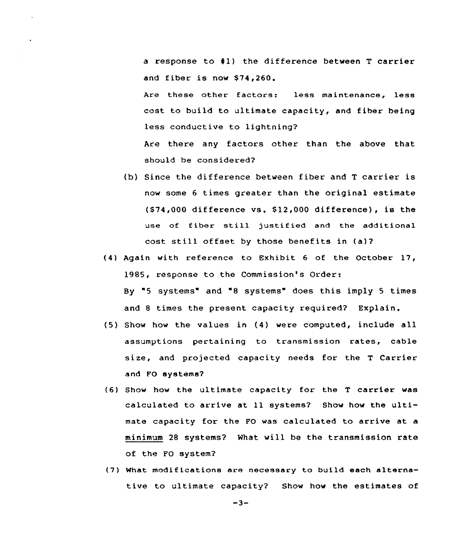a response to  $#1$ ) the difference between T carrier and fiber is now \$74,260.

Are these other factors: less maintenance, less cost to build to ultimate capacity, and fiber being less conductive to lightning?

Are there any factors other than the above that should be considered?

- (b) Since the difference between fiber and <sup>T</sup> carrier is now some 6 times greater than the original estimate (\$74,000 difference vs. \$ 12,000 difference), is the use of fiber still justified and the additional cost still offset by those benefits in (a)?
- (4) Again with reference to Exhibit <sup>6</sup> of the October 17, 1985, response to the Commission's Order: By "5 systems" and "8 systems" does this imply <sup>5</sup> times and 8 times the present capacity required? Explain.
- (5) Show how the values in {4) were computed, include all assumptions pertaining to transmission rates, cable size, and projected capacity needs for the <sup>T</sup> Carrier and FO systems?
- (6) Show how the ultimate capacity for the <sup>T</sup> carrier was calculated to arrive at ll systems? Show how the ultimate capacity for the PO was calculated to arrive at a minimum 28 systems'? What will be the transmission rate of the FO system?
- (7) What modifications are necessary to build each alternative to ultimate capacity? Show how the estimates of

 $-3-$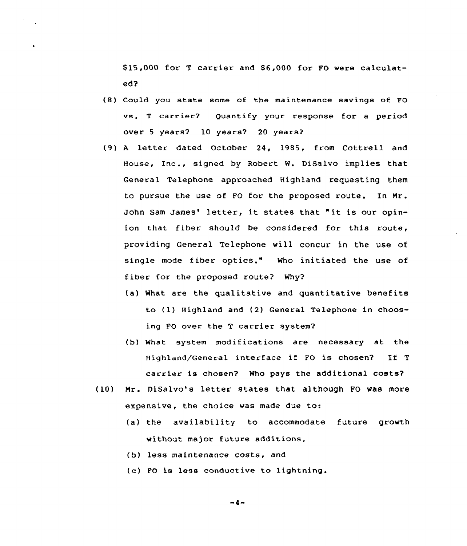\$ 15,000 for <sup>T</sup> carrier and S6,000 for FO were calculated?

- (8) Could you state some of the maintenance savings of FO vs. <sup>T</sup> carrier? Quantify your response for a period over <sup>5</sup> years? 10 years? 20 years?
- (9) <sup>A</sup> letter dated October 24, 1985, from Cottrell and House, Inc., signed by Robert N. DiSalvo implies that General Telephone approached Highland requesting them to pursue the use of FO for the proposed route. In Nr. John Sam James' letter, it states that "it is our opinion that fiber should be considered for this route, providing General Telephone vill concur in the use of single mode fiber optics." Who initiated the use of fiber for the proposed route? Why?
	- (a) What are the qualitative and quantitative benefits to (1) Highland and (2) General Telephone in choosing FO over the <sup>T</sup> carrier system?
	- (b) What system modifications are necessary at the Highland/General interface if PO is chosen7 If <sup>T</sup> carrier is chosen? Who pays the additional costs?
- (10) Mr. DiSalvo's letter states that although FO vas more expensive, the choice was made due to:
	- (a) the availability to accommodate future growth without major future additions,
	- (b) less maintenance costs, and
	- (c) FO is less conductive to lightning.

 $-4-$